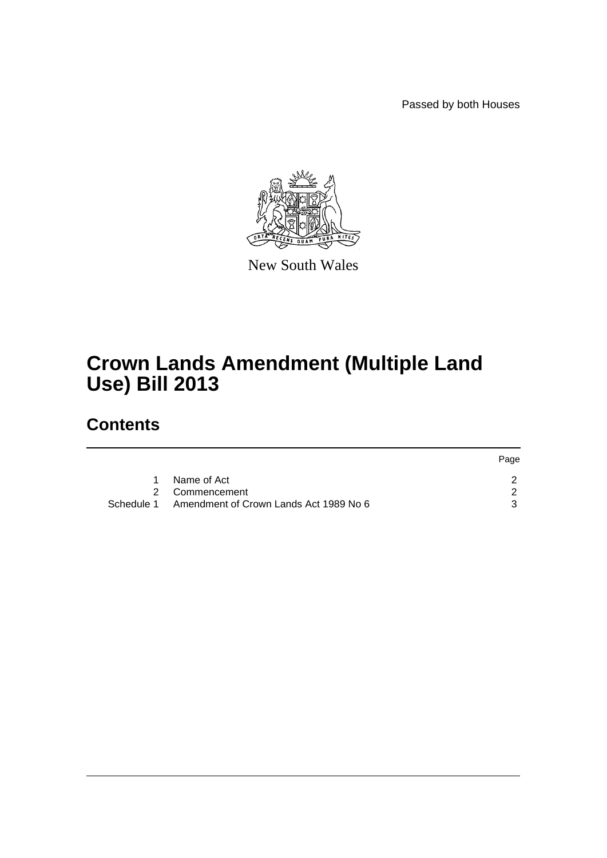Passed by both Houses



New South Wales

# **Crown Lands Amendment (Multiple Land Use) Bill 2013**

# **Contents**

|                                                   | Page |
|---------------------------------------------------|------|
| 1 Name of Act                                     |      |
| 2 Commencement                                    |      |
| Schedule 1 Amendment of Crown Lands Act 1989 No 6 |      |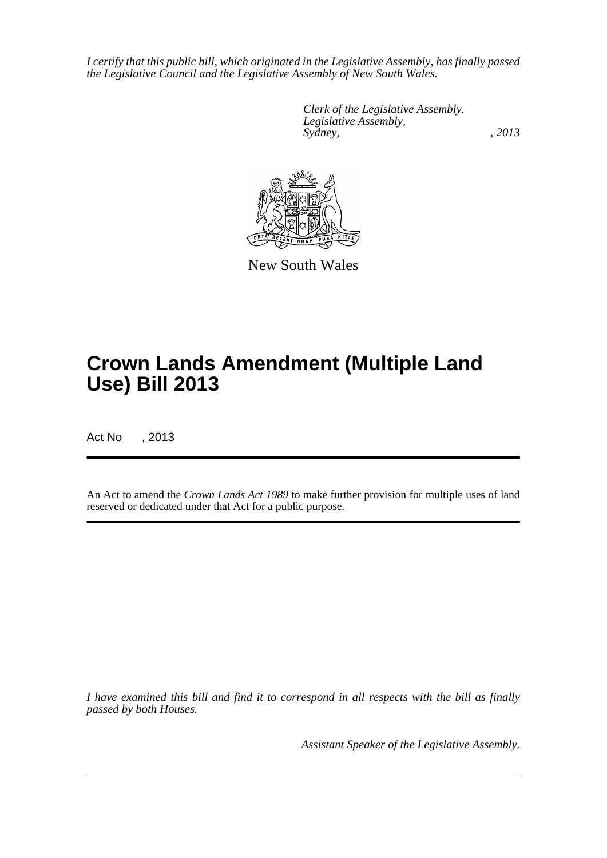*I certify that this public bill, which originated in the Legislative Assembly, has finally passed the Legislative Council and the Legislative Assembly of New South Wales.*

> *Clerk of the Legislative Assembly. Legislative Assembly, Sydney, , 2013*



New South Wales

# **Crown Lands Amendment (Multiple Land Use) Bill 2013**

Act No , 2013

An Act to amend the *Crown Lands Act 1989* to make further provision for multiple uses of land reserved or dedicated under that Act for a public purpose.

*I have examined this bill and find it to correspond in all respects with the bill as finally passed by both Houses.*

*Assistant Speaker of the Legislative Assembly.*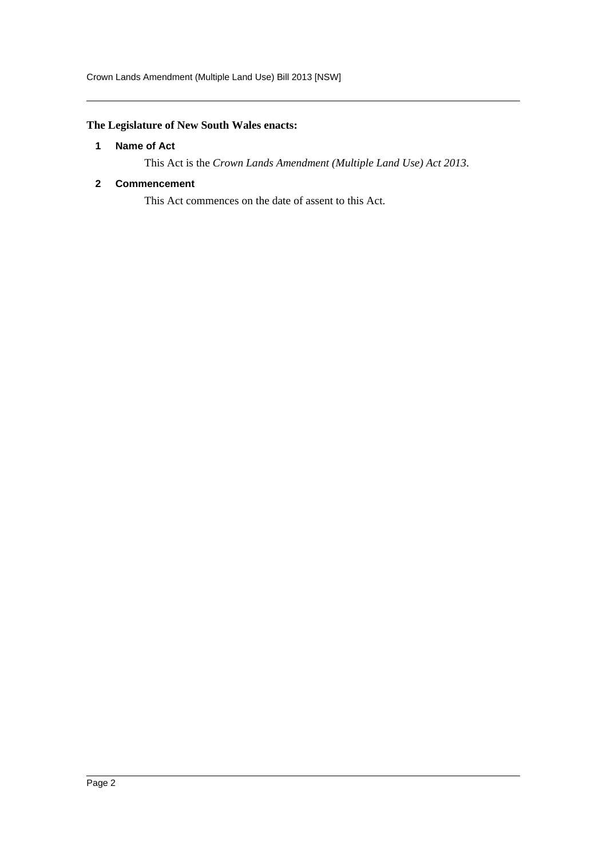Crown Lands Amendment (Multiple Land Use) Bill 2013 [NSW]

### <span id="page-2-0"></span>**The Legislature of New South Wales enacts:**

#### **1 Name of Act**

This Act is the *Crown Lands Amendment (Multiple Land Use) Act 2013*.

#### <span id="page-2-1"></span>**2 Commencement**

This Act commences on the date of assent to this Act.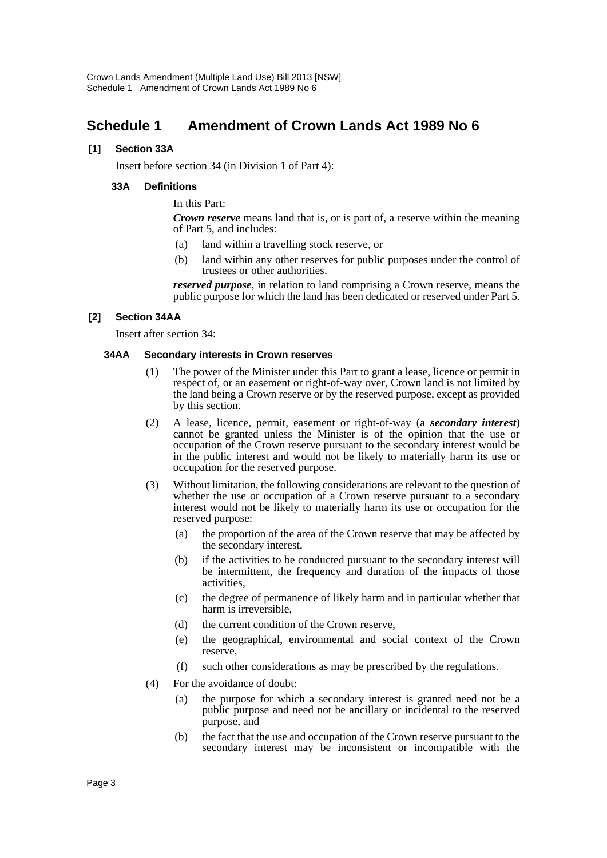## <span id="page-3-0"></span>**Schedule 1 Amendment of Crown Lands Act 1989 No 6**

#### **[1] Section 33A**

Insert before section 34 (in Division 1 of Part 4):

#### **33A Definitions**

In this Part:

*Crown reserve* means land that is, or is part of, a reserve within the meaning of Part 5, and includes:

- (a) land within a travelling stock reserve, or
- (b) land within any other reserves for public purposes under the control of trustees or other authorities.

*reserved purpose*, in relation to land comprising a Crown reserve, means the public purpose for which the land has been dedicated or reserved under Part 5.

#### **[2] Section 34AA**

Insert after section 34:

#### **34AA Secondary interests in Crown reserves**

- (1) The power of the Minister under this Part to grant a lease, licence or permit in respect of, or an easement or right-of-way over, Crown land is not limited by the land being a Crown reserve or by the reserved purpose, except as provided by this section.
- (2) A lease, licence, permit, easement or right-of-way (a *secondary interest*) cannot be granted unless the Minister is of the opinion that the use or occupation of the Crown reserve pursuant to the secondary interest would be in the public interest and would not be likely to materially harm its use or occupation for the reserved purpose.
- (3) Without limitation, the following considerations are relevant to the question of whether the use or occupation of a Crown reserve pursuant to a secondary interest would not be likely to materially harm its use or occupation for the reserved purpose:
	- (a) the proportion of the area of the Crown reserve that may be affected by the secondary interest,
	- (b) if the activities to be conducted pursuant to the secondary interest will be intermittent, the frequency and duration of the impacts of those activities,
	- (c) the degree of permanence of likely harm and in particular whether that harm is irreversible,
	- (d) the current condition of the Crown reserve,
	- (e) the geographical, environmental and social context of the Crown reserve,
	- (f) such other considerations as may be prescribed by the regulations.
- (4) For the avoidance of doubt:
	- (a) the purpose for which a secondary interest is granted need not be a public purpose and need not be ancillary or incidental to the reserved purpose, and
	- (b) the fact that the use and occupation of the Crown reserve pursuant to the secondary interest may be inconsistent or incompatible with the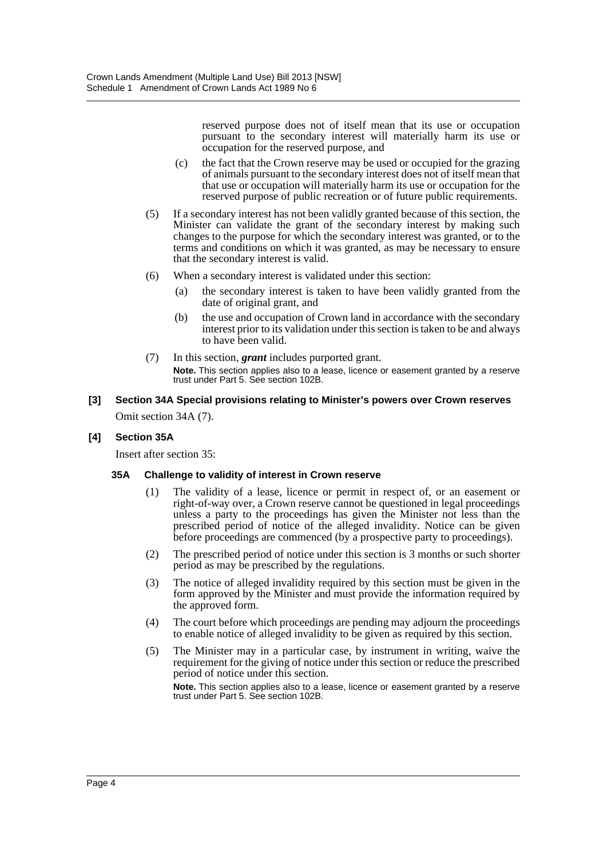reserved purpose does not of itself mean that its use or occupation pursuant to the secondary interest will materially harm its use or occupation for the reserved purpose, and

- (c) the fact that the Crown reserve may be used or occupied for the grazing of animals pursuant to the secondary interest does not of itself mean that that use or occupation will materially harm its use or occupation for the reserved purpose of public recreation or of future public requirements.
- (5) If a secondary interest has not been validly granted because of this section, the Minister can validate the grant of the secondary interest by making such changes to the purpose for which the secondary interest was granted, or to the terms and conditions on which it was granted, as may be necessary to ensure that the secondary interest is valid.
- (6) When a secondary interest is validated under this section:
	- (a) the secondary interest is taken to have been validly granted from the date of original grant, and
	- (b) the use and occupation of Crown land in accordance with the secondary interest prior to its validation under this section is taken to be and always to have been valid.
- (7) In this section, *grant* includes purported grant. **Note.** This section applies also to a lease, licence or easement granted by a reserve trust under Part 5. See section 102B.
- **[3] Section 34A Special provisions relating to Minister's powers over Crown reserves** Omit section 34A (7).

#### **[4] Section 35A**

Insert after section 35:

#### **35A Challenge to validity of interest in Crown reserve**

- (1) The validity of a lease, licence or permit in respect of, or an easement or right-of-way over, a Crown reserve cannot be questioned in legal proceedings unless a party to the proceedings has given the Minister not less than the prescribed period of notice of the alleged invalidity. Notice can be given before proceedings are commenced (by a prospective party to proceedings).
- (2) The prescribed period of notice under this section is 3 months or such shorter period as may be prescribed by the regulations.
- (3) The notice of alleged invalidity required by this section must be given in the form approved by the Minister and must provide the information required by the approved form.
- (4) The court before which proceedings are pending may adjourn the proceedings to enable notice of alleged invalidity to be given as required by this section.
- (5) The Minister may in a particular case, by instrument in writing, waive the requirement for the giving of notice under this section or reduce the prescribed period of notice under this section.

**Note.** This section applies also to a lease, licence or easement granted by a reserve trust under Part 5. See section 102B.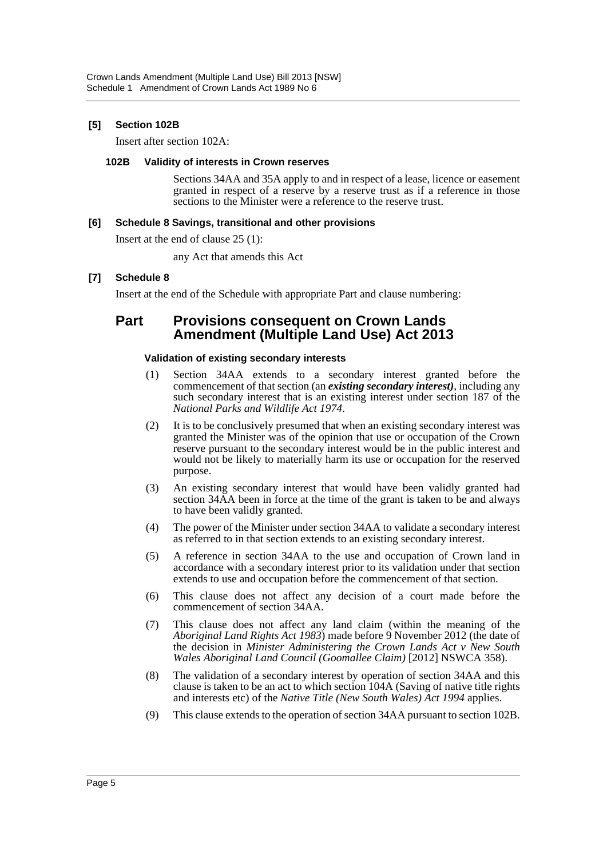#### **[5] Section 102B**

Insert after section 102A:

#### **102B Validity of interests in Crown reserves**

Sections 34AA and 35A apply to and in respect of a lease, licence or easement granted in respect of a reserve by a reserve trust as if a reference in those sections to the Minister were a reference to the reserve trust.

#### **[6] Schedule 8 Savings, transitional and other provisions**

Insert at the end of clause 25 (1):

any Act that amends this Act

#### **[7] Schedule 8**

Insert at the end of the Schedule with appropriate Part and clause numbering:

### **Part Provisions consequent on Crown Lands Amendment (Multiple Land Use) Act 2013**

#### **Validation of existing secondary interests**

- (1) Section 34AA extends to a secondary interest granted before the commencement of that section (an *existing secondary interest)*, including any such secondary interest that is an existing interest under section 187 of the *National Parks and Wildlife Act 1974*.
- (2) It is to be conclusively presumed that when an existing secondary interest was granted the Minister was of the opinion that use or occupation of the Crown reserve pursuant to the secondary interest would be in the public interest and would not be likely to materially harm its use or occupation for the reserved purpose.
- (3) An existing secondary interest that would have been validly granted had section 34AA been in force at the time of the grant is taken to be and always to have been validly granted.
- (4) The power of the Minister under section 34AA to validate a secondary interest as referred to in that section extends to an existing secondary interest.
- (5) A reference in section 34AA to the use and occupation of Crown land in accordance with a secondary interest prior to its validation under that section extends to use and occupation before the commencement of that section.
- (6) This clause does not affect any decision of a court made before the commencement of section 34AA.
- (7) This clause does not affect any land claim (within the meaning of the *Aboriginal Land Rights Act 1983*) made before 9 November 2012 (the date of the decision in *Minister Administering the Crown Lands Act v New South Wales Aboriginal Land Council (Goomallee Claim)* [2012] NSWCA 358).
- (8) The validation of a secondary interest by operation of section 34AA and this clause is taken to be an act to which section 104A (Saving of native title rights and interests etc) of the *Native Title (New South Wales) Act 1994* applies.
- (9) This clause extends to the operation of section 34AA pursuant to section 102B.